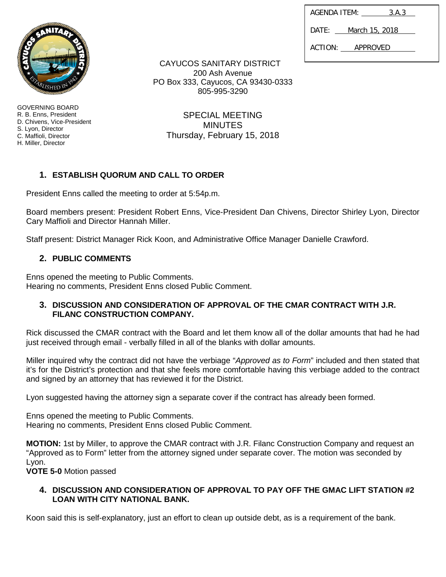| AGENDA ITEM: | 3.A.3 |
|--------------|-------|
|              |       |

DATE: March 15, 2018

ACTION: APPROVED



GOVERNING BOARD R. B. Enns, President D. Chivens, Vice-President S. Lyon, Director C. Maffioli, Director H. Miller, Director

CAYUCOS SANITARY DISTRICT 200 Ash Avenue PO Box 333, Cayucos, CA 93430-0333 805-995-3290

SPECIAL MEETING **MINUTES** Thursday, February 15, 2018

# **1. ESTABLISH QUORUM AND CALL TO ORDER**

President Enns called the meeting to order at 5:54p.m.

Board members present: President Robert Enns, Vice-President Dan Chivens, Director Shirley Lyon, Director Cary Maffioli and Director Hannah Miller.

Staff present: District Manager Rick Koon, and Administrative Office Manager Danielle Crawford.

# **2. PUBLIC COMMENTS**

Enns opened the meeting to Public Comments. Hearing no comments, President Enns closed Public Comment.

## **3. DISCUSSION AND CONSIDERATION OF APPROVAL OF THE CMAR CONTRACT WITH J.R. FILANC CONSTRUCTION COMPANY.**

Rick discussed the CMAR contract with the Board and let them know all of the dollar amounts that had he had just received through email - verbally filled in all of the blanks with dollar amounts.

Miller inquired why the contract did not have the verbiage "*Approved as to Form*" included and then stated that it's for the District's protection and that she feels more comfortable having this verbiage added to the contract and signed by an attorney that has reviewed it for the District.

Lyon suggested having the attorney sign a separate cover if the contract has already been formed.

Enns opened the meeting to Public Comments. Hearing no comments, President Enns closed Public Comment.

**MOTION:** 1st by Miller, to approve the CMAR contract with J.R. Filanc Construction Company and request an "Approved as to Form" letter from the attorney signed under separate cover. The motion was seconded by Lyon.

**VOTE 5-0** Motion passed

## **4. DISCUSSION AND CONSIDERATION OF APPROVAL TO PAY OFF THE GMAC LIFT STATION #2 LOAN WITH CITY NATIONAL BANK.**

Koon said this is self-explanatory, just an effort to clean up outside debt, as is a requirement of the bank.